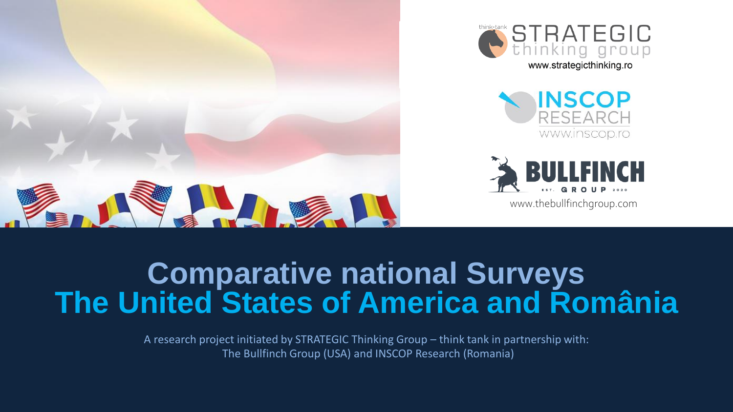







www.thebullfinchgroup.com

# **Comparative national Surveys The United States of America and România**

A research project initiated by STRATEGIC Thinking Group – think tank in partnership with: The Bullfinch Group (USA) and INSCOP Research (Romania)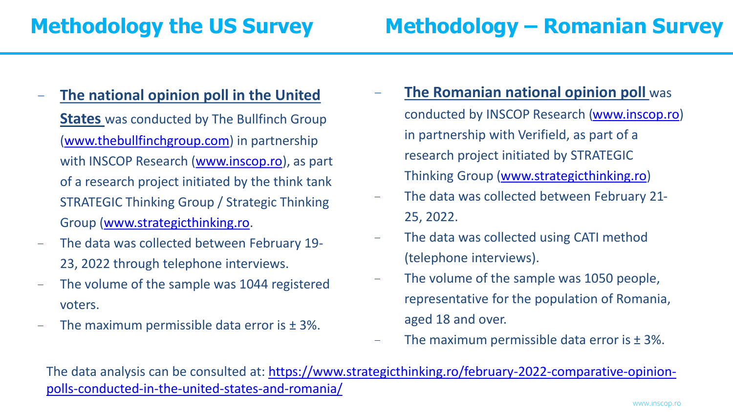- − **The national opinion poll in the United States** was conducted by The Bullfinch Group [\(www.thebullfinchgroup.com](http://www.thebullfinchgroup.com/)) in partnership with INSCOP Research [\(www.inscop.ro](http://www.inscop.ro/)), as part of a research project initiated by the think tank STRATEGIC Thinking Group / Strategic Thinking Group ([www.strategicthinking.ro](http://www.strategicthinking.ro/).
- − The data was collected between February 19- 23, 2022 through telephone interviews.
- The volume of the sample was 1044 registered voters.
- The maximum permissible data error is  $± 3\%$ .
- **The Romanian national opinion poll** was conducted by INSCOP Research [\(www.inscop.ro](http://www.inscop.ro/)) in partnership with Verifield, as part of a research project initiated by STRATEGIC Thinking Group [\(www.strategicthinking.ro](http://www.strategicthinking.ro/))
- − The data was collected between February 21- 25, 2022.
- − The data was collected using CATI method (telephone interviews).
- − The volume of the sample was 1050 people, representative for the population of Romania, aged 18 and over.
- The maximum permissible data error is  $± 3\%$ .

[The data analysis can be consulted at: https://www.strategicthinking.ro/february-2022-comparative-opinion](https://www.strategicthinking.ro/february-2022-comparative-opinion-polls-conducted-in-the-united-states-and-romania/)polls-conducted-in-the-united-states-and-romania/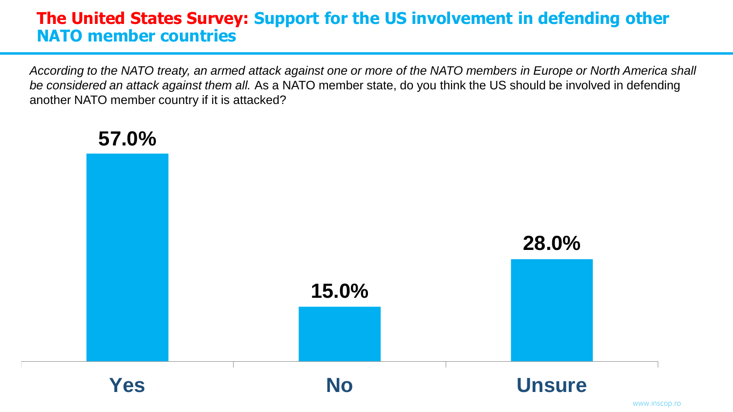### **The United States Survey: Support for the US involvement in defending other NATO member countries**

*According to the NATO treaty, an armed attack against one or more of the NATO members in Europe or North America shall be considered an attack against them all.* As a NATO member state, do you think the US should be involved in defending another NATO member country if it is attacked?



#### www.inscop.ro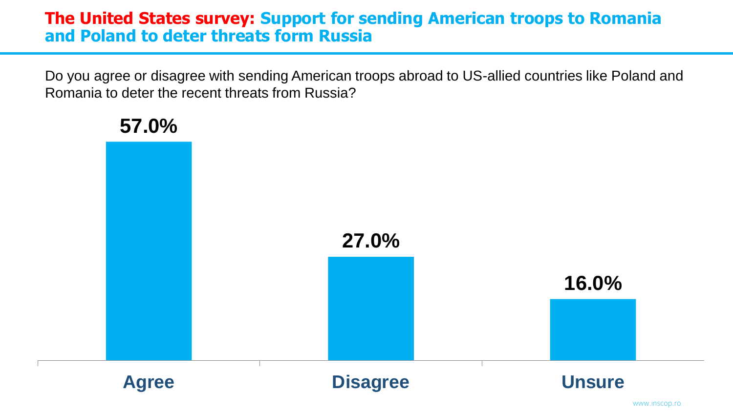### **The United States survey: Support for sending American troops to Romania and Poland to deter threats form Russia**

Do you agree or disagree with sending American troops abroad to US-allied countries like Poland and Romania to deter the recent threats from Russia?

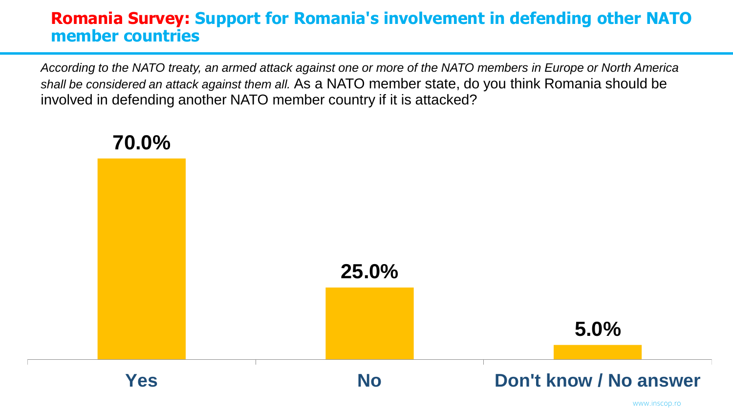## **Romania Survey: Support for Romania's involvement in defending other NATO member countries**

*According to the NATO treaty, an armed attack against one or more of the NATO members in Europe or North America shall be considered an attack against them all.* As a NATO member state, do you think Romania should be involved in defending another NATO member country if it is attacked?



#### www.inscop.ro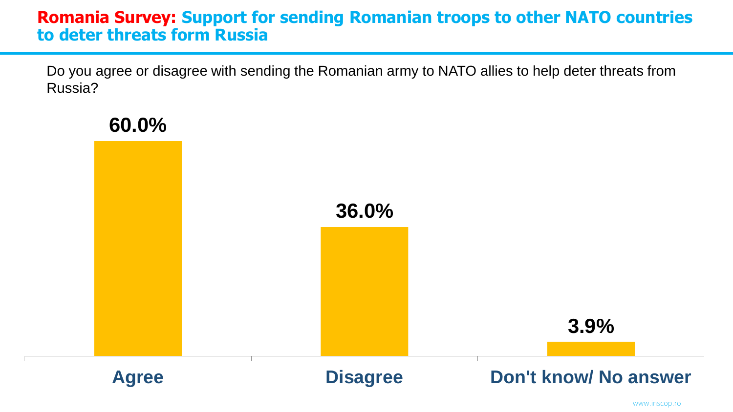### **Romania Survey: Support for sending Romanian troops to other NATO countries to deter threats form Russia**

Do you agree or disagree with sending the Romanian army to NATO allies to help deter threats from Russia?



www.inscop.ro